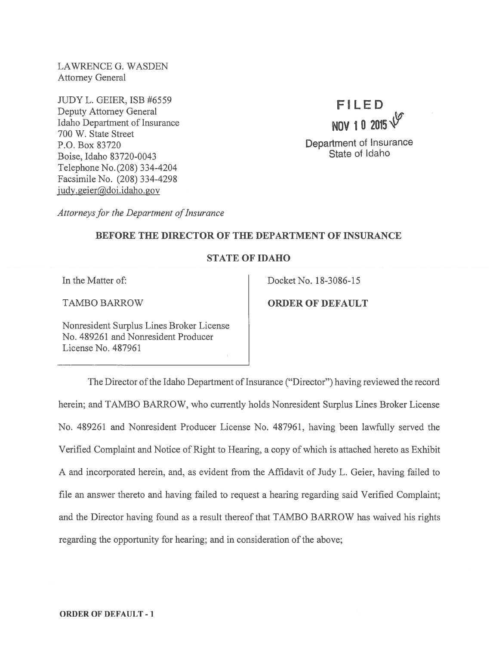LAWRENCE G. WASDEN Attorney General

JUDY L. GEIER, ISB #6559 Deputy Attorney General Idaho Department of Insurance 700 W. State Street P.O. Box 83720 Boise, Idaho 83720-0043 Telephone No.(208) 334-4204 Facsimile No. (208) 334-4298 judy.geier@doi.idaho.gov

FILED NOV 10 2015' Department of Insurance State of Idaho

Attorneys for the Department of Insurance

### BEFORE THE DIRECTOR OF THE DEPARTMENT OF INSURANCE

# STATE OF IDAHO

Nonresident Surplus Lines Broker License No. 489261 and Nonresident Producer License No. 487961

In the Matter of: Docket No. 18-3086-15

TAMBO BARROW **ORDER OF DEFAULT** 

The Director of the Idaho Department of Insurance ("Director") having reviewed the record herein; and TAMBO BARROW, who currently holds Nonresident Surplus Lines Broker License No. 489261 and Nonresident Producer License No. 487961, having been lawfully served the Verified Complaint and Notice of Right to Hearing, <sup>a</sup> copy of which is attached hereto as Exhibit A and incorporated herein, and, as evident from the Affidavit of Judy L. Geier, having failed to file an answer thereto and having failed to reques<sup>t</sup> <sup>a</sup> hearing regarding said Verified Complaint; and the Director having found as <sup>a</sup> result thereof that TAMBO BARROW has waived his rights regarding the opportunity for hearing; and in consideration of the above;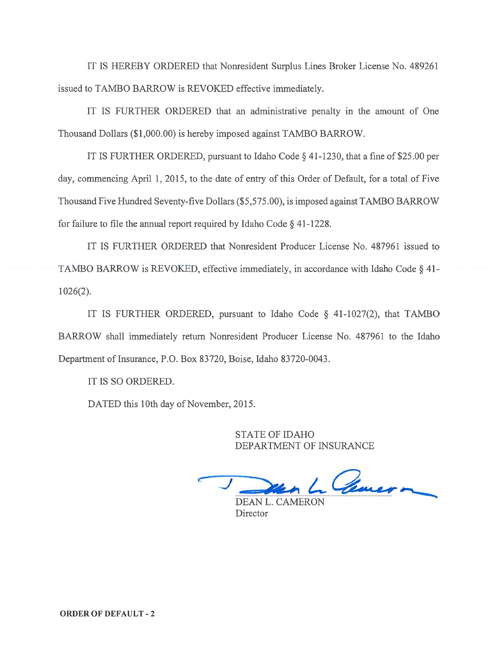IT IS HEREBY ORDERED that Nonresident Surplus Lines Broker License No. 489261 issued to TAMBO BARROW is REVOKED effective immediately.

IT IS FURTHER ORDERED that an administrative penalty in the amount of One Thousand Dollars (\$1,000.00) is hereby imposed against TAMBO BARROW.

IT IS FURTHER ORDERED, pursuan<sup>t</sup> to Idaho Code § 41-1230, that <sup>a</sup> fine of \$25.00 per day, commencing April 1, 2015, to the date of entry of this Order of Default, for <sup>a</sup> total of Five Thousand Five Hundred Seventy-five Dollars (\$5,575.00), is imposed against TAMBO BARROW for failure to file the annual report required by Idaho Code  $\S$  41-1228.

IT IS FURTHER ORDERED that Nonresident Producer License No. 487961 issued to TAMBO BARROW is REVOKED, effective immediately, in accordance with Idaho Code § 41- 1026(2).

IT IS FURTHER ORDERED, pursuan<sup>t</sup> to Idaho Code § 41-1027(2), that TAMBO BARROW shall immediately return Nonresident Producer License No. 487961 to the Idaho Department of Insurance, P.O. Box 83720, Boise, Idaho 83720-0043.

IT IS SO ORDERED.

DATED this 10th day of November, 2015.

STATE OF IDAHO DEPARTMENT OF INSURANCE

Chancon

DEAN L. CAMERON Director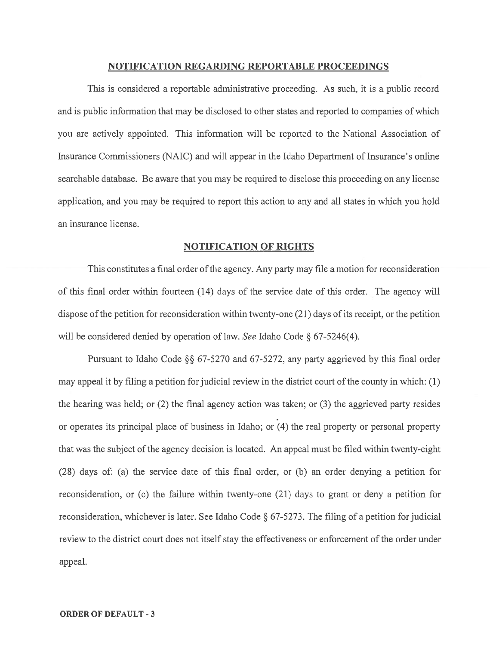### NOTIFICATION REGARDING REPORTABLE PROCEEDINGS

This is considered <sup>a</sup> reportable administrative proceeding. As such, it is <sup>a</sup> public record and is public information that may be disclosed to other states and reported to companies of which you are actively appointed. This information will be reported to the National Association of Insurance Commissioners (NAIC) and will appear in the Idaho Department of Insurance's online searchable database. Be aware that you may be required to disclose this proceeding on any license application, and you may be required to repor<sup>t</sup> this action to any and all states in which you hold an insurance license.

### NOTIFICATION OF RIGHTS

This constitutes <sup>a</sup> final order ofthe agency. Any party may file <sup>a</sup> motion for reconsideration of this final order within fourteen (14) days of the service date of this order. The agency will dispose of the petition for reconsideration within twenty-one  $(21)$  days of its receipt, or the petition will be considered denied by operation of law. See Idaho Code § 67-5246(4).

Pursuant to Idaho Code § 67-5270 and 67-5272, any party aggrieved by this final order may appeal it by filing a petition for judicial review in the district court of the county in which:  $(1)$ the hearing was held; or (2) the final agency action was taken; or (3) the aggrieved party resides or operates its principal place of business in Idaho; or (4) the real property or personal property that was the subject of the agency decision is located. An appeal must be filed within twenty-eight (28) days of: (a) the service date of this final order, or (b) an order denying <sup>a</sup> petition for reconsideration, or (c) the failure within twenty-one (21) days to gran<sup>t</sup> or deny <sup>a</sup> petition for reconsideration, whichever is later. See Idaho Code § 67-5273. The filing of <sup>a</sup> petition for judicial review to the district court does not itself stay the effectiveness or enforcement of the order under appeal.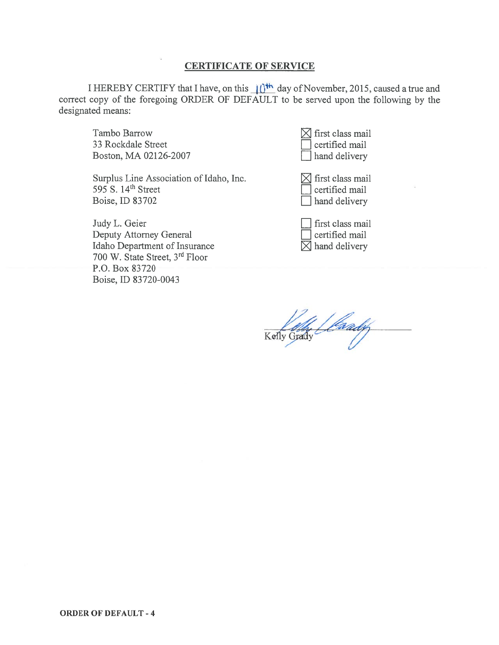# CERTIFICATE OF SERVICE

I HEREBY CERTIFY that I have, on this  $\frac{1}{10^{11}}$  day of November, 2015, caused a true and correct copy of the foregoing ORDER OF DEFAULT to be served upon the following by the designated means:

Tambo Barrow  $\boxtimes$  first class mail 33 Rockdale Street Boston, MA 02126-2007

Surplus Line Association of Idaho, Inc.  $\boxtimes$  first class mail  $595$  S. 14<sup>th</sup> Street  $\Box$  certified mail Boise, ID 83702 **hand delivery** 

Judy L. Geier [1]<br>Deputy Attorney General [1]<br>Idaho Department of Insurance [1] Deputy Attorney General Idaho Department of Insurance 700 W. State Street, 3rd Floor P.O. Box 83720 Boise. ID 83720-0043

| $\boxtimes$ first class mail |
|------------------------------|
| certified mail               |
| hand delivery                |

| first class mail       |
|------------------------|
| certified mail         |
| $\times$ hand delivery |

' [faady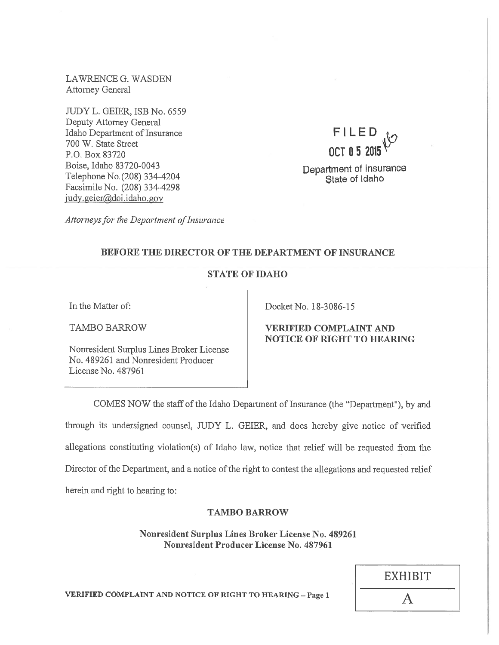LAWRENCE G. WASDEN Attorney General

JUDY L. GEIER, ISB No. 6559 Deputy Attorney General Idaho Department of Insurance 700 W. State Street P.O. Box 83720 Boise, Idaho 83720-0043 Telephone No. (208) 334-4204 Facsimile No. (208) 334-4298 judy.geier@doi.idaho.gov

FILED OCT05 2015'

Department of Insurance State of Idaho

Attorneys for the Department of Insurance

# BEFORE THE DIRECTOR OF THE DEPARTMENT OF INSURANCE

# STATE OF IDAHO

In the Matter of:

TAMBO BARROW

Nonresident Surplus Lines Broker License No. 489261 and Nonresident Producer License No. 487961

Docket No. 18-3086-15

# VERIFIED COMPLAINT AND NOTICE OF RIGHT TO HEARING

COMES NOW the staff of the Idaho Department of Insurance (the "Department"), by and through its undersigned counsel, JUDY L. GEJER, and does hereby <sup>g</sup>ive notice of verified allegations constituting violation(s) of Idaho law, notice that relief will be requested from the Director of the Department, and a notice of the right to contest the allegations and requested relief herein and right to hearing to:

### TAMBO BARROW

Nonresident Surplus Lines Broker License No. 489261 Nonresident Producer License No. 487961

| <b>EXHIBIT</b> |  |
|----------------|--|
| A              |  |

VERIFIED COMPLAINT AND NOTICE OF RIGHT TO HEARING —Page <sup>1</sup>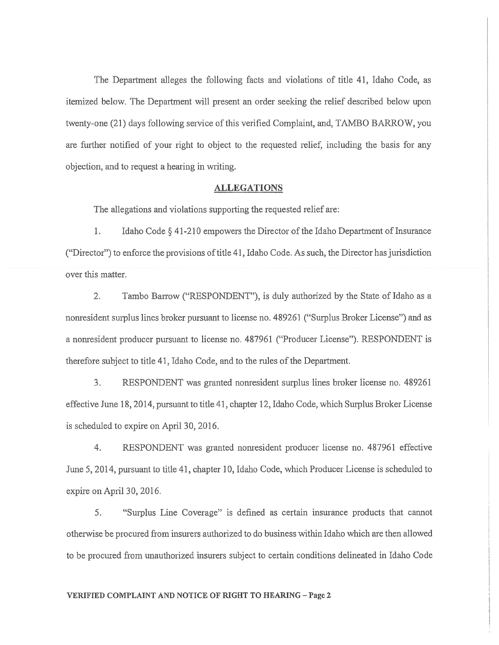The Department alleges the following facts and violations of title 41, Idaho Code, as itemized below. The Department will presen<sup>t</sup> an order seeking the relief described below upon twenty-one (21) days following service ofthis verified Complaint, and, TAMBO BARROW, you are further notified of your right to object to the requested relief, including the basis for any objection, and to reques<sup>t</sup> <sup>a</sup> hearing in writing.

### ALLEGATIONS

The allegations and violations supporting the requested relief are:

1. Idaho Code § 41-210 empowers the Director of the Idaho Department of Insurance ("Director") to enforce the provisions of title 41, Idaho Code. As such, the Director has jurisdiction over this matter.

2. Tambo Barrow ("RESPONDENT"), is duly authorized by the State of Idaho as <sup>a</sup> nonresident surplus lines broker pursuan<sup>t</sup> to license no. 489261 ("Surplus Broker License") and as <sup>a</sup> nonresident producer pursuan<sup>t</sup> to license no. 487961 ("Producer License"). RESPONDENT is therefore subject to title 41, Idaho Code, and to the rules ofthe Department.

3. RESPONDENT was granted nonresident surplus lines broker license no. 489261 effective June 18, 2014, pursuan<sup>t</sup> to title 41, chapter 12, Idaho Code, which Surplus Broker License is scheduled to expire on April 30, 2016.

4. RESPONDENT was granted nonresident producer license no. 487961 effective June 5, 2014, pursuan<sup>t</sup> to title 41, chapter 10, Idaho Code, which Producer License is scheduled to expire on April 30, 2016.

5. "Surplus Line Coverage" is defined as certain insurance products that cannot otherwise be procured from insurers authorized to do business within Idaho which are then allowed to be procured from unauthorized insurers subject to certain conditions delineated in Idaho Code

#### VERIFIED COMPLAINT AND NOTICE OF RIGHT TO HEARING -Page 2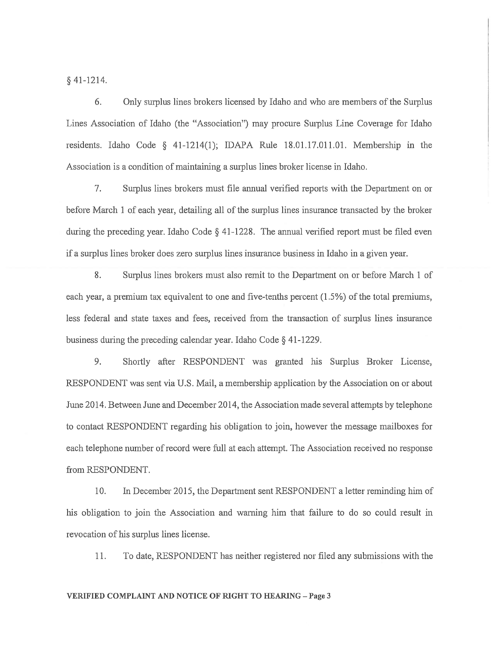§ 41-1214.

6. Only surplus lines brokers licensed by Idaho and who are members of the Surplus Lines Association of Idaho (the "Association") may procure Surplus Line Coverage for Idaho residents. Idaho Code § 41-1214(1); IDAPA Rule 18.01.17.011.01. Membership in the Association is <sup>a</sup> condition of maintaining <sup>a</sup> surplus lines broker license in Idaho.

7. Surplus lines brokers must file annual verified reports with the Department on or before March 1 of each year, detailing all of the surplus lines insurance transacted by the broker during the preceding year. Idaho Code § 41-1228. The annual verified report must be filed even if <sup>a</sup> surplus lines broker does zero surplus lines insurance business in Idaho in <sup>a</sup> given year.

8. Surplus lines brokers must also remit to the Department on or before March 1 of each year, <sup>a</sup> premium tax equivalent to one and five-tenths percen<sup>t</sup> (1.5%) of the total premiums, less federal and state taxes and fees, received from the transaction of surplus lines insurance business during the preceding calendar year. Idaho Code § <sup>4</sup> 1-1229.

9. Shortly after RESPONDENT was granted his Surplus Broker License, RESPONDENT was sent via U.S. Mail, <sup>a</sup> membership application by the Association on or about June 2014. Between June and December 2014, the Association made several attempts by telephone to contact RESPONDENT regarding his obligation to join, however the message mailboxes for each telephone number of record were full at each attempt. The Association received no response from RESPONDENT.

10. In December 2015, the Department sent RESPONDENT <sup>a</sup> letter reminding him of his obligation to join the Association and warning him that failure to do so could result in revocation of his surplus lines license.

11. To date, RESPONDENT has neither registered nor filed any submissions with the

#### VERIFIED COMPLAINT AND NOTICE OF RIGHT TO HEARING - Page 3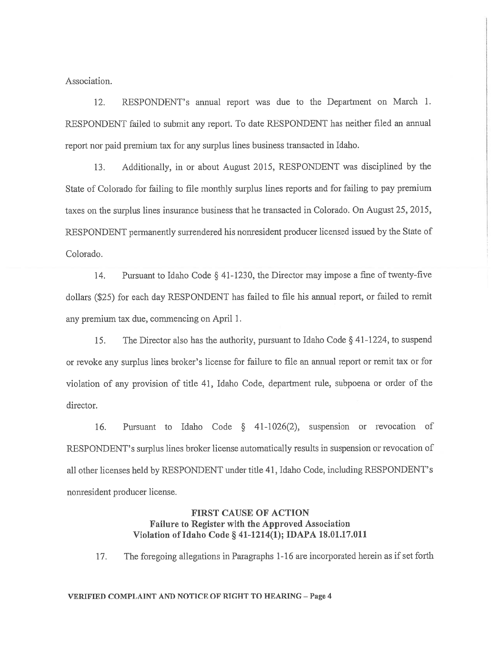Association.

12. RESPONDENT's annual repor<sup>t</sup> was due to the Department on March 1. RESPONDENT failed to submit any report. To date RESPONDENT has neither filed an annual repor<sup>t</sup> nor paid premium tax for any surplus lines business transacted in Idaho.

13. Additionally, in or about August 2015, RESPONDENT was disciplined by the State of Colorado for failing to file monthly surplus lines reports and for failing to pay premium taxes on the surplus lines insurance business that he transacted in Colorado. On August 25, 2015, RESPONDENT permanently surrendered his nonresident producer licensed issued by the State of Colorado.

14. Pursuant to Idaho Code § 41-1230, the Director may impose <sup>a</sup> fine of twenty-five dollars (\$25) for each day RESPONDENT has failed to file his annual report, or failed to remit any premium tax due, commencing on April 1.

15. The Director also has the authority, pursuan<sup>t</sup> to Idaho Code § <sup>4</sup> 1-1224, to suspen<sup>d</sup> or revoke any surplus lines broker's license for failure to file an annual repor<sup>t</sup> or remit tax or for violation of any provision of title 41, Idaho Code, department rule, subpoena or order of the director.

16. Pursuant to Idaho Code § 41-1026(2), suspension or revocation of RESPONDENT's surplus lines broker license automatically results in suspension or revocation of all other licenses held by RESPONDENT under title 41, Idaho Code, including RESPONDENT's nonresident producer license.

# FIRST CAUSE OF ACTION Failure to Register with the Approved Association Violation of Idaho Code § 41-1214(1); IDAPA 18.01.17.011

17. The foregoing allegations in Paragraphs 1-16 are incorporated herein as if set forth

#### VERIFIED COMPLAINT AND NOTICE OF RIGHT TO HEARING - Page 4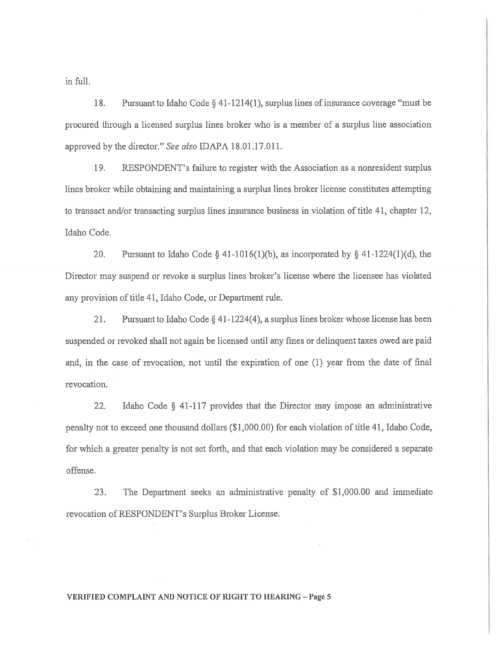in full.

18. Pursuant to Idaho Code § 41-1214(1), surplus lines of insurance coverage "must be procured through <sup>a</sup> licensed surplus lines broker who is <sup>a</sup> member of <sup>a</sup> surplus line association approved by the director." See also IDAPA 18.01.17.011.

19. RESPONDENT's failure to register with the Association as <sup>a</sup> nonresident surplus lines broker while obtaining and maintaining <sup>a</sup> surplus lines broker license constitutes attempting to transact and/or transacting surplus lines insurance business in violation of title 41, chapter 12, Idaho Code.

20. Pursuant to Idaho Code § 41-1016(1)(b), as incorporated by § 41-1224(1)(d), the Director may suspend or revoke <sup>a</sup> surplus lines broker's license where the licensee has violated any provision of title 41, Idaho Code, or Department rule.

21. Pursuant to Idaho Code § 41-1224(4), <sup>a</sup> surplus lines broker whose license has been suspended or revoked shall not again be licensed until any fines or delinquent taxes owed are paid and, in the case of revocation, not until the expiration of one (1) year from the date of final revocation.

22. Idaho Code § 41-117 provides that the Director may impose an administrative penalty not to exceed one thousand dollars (\$1,000.00) for each violation of title 41, Idaho Code, for which <sup>a</sup> greater penalty is not set forth, and that each violation may be considered <sup>a</sup> separate offense.

23. The Department seeks an administrative penalty of \$1,000.00 and immediate revocation of RESPONDENT's Surplus Broker License.

### VERIFIED COMPLAINT AND NOTICE OF RIGHT TO HEARING - Page 5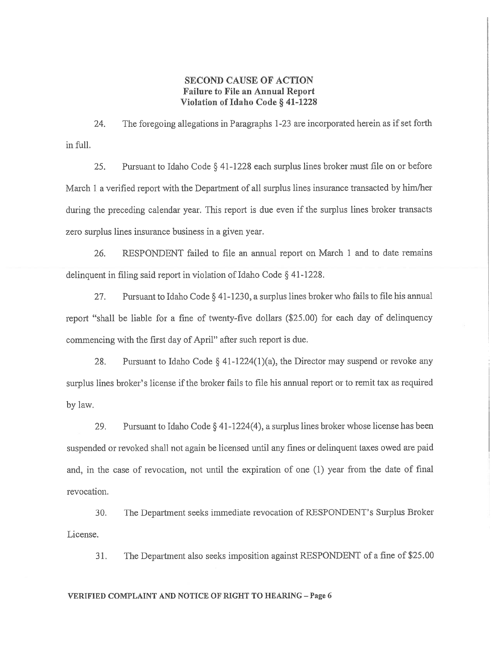# SECOND CAUSE OF ACTION Failure to File an Annual Report Violation of Idaho Code § 41-1228

24. The foregoing allegations in Paragraphs 1-23 are incorporated herein as if set forth in full.

25. Pursuant to Idaho Code § 41-1228 each surplus lines broker must file on or before March 1 a verified report with the Department of all surplus lines insurance transacted by him/her during the preceding calendar year. This repor<sup>t</sup> is due even if the surplus lines broker transacts zero surplus lines insurance business in <sup>a</sup> given year.

26. RESPONDENT failed to file an annual repor<sup>t</sup> on March 1 and to date remains delinquent in filing said repor<sup>t</sup> in violation of Idaho Code § 41-1228.

27. Pursuant to Idaho Code § 41-1230, <sup>a</sup> surplus lines broker who fails to file his annual repor<sup>t</sup> "shall be liable for <sup>a</sup> fine of twenty-five dollars (\$25.00) for each day of delinquency commencing with the first day of April" after such repor<sup>t</sup> is due.

28. Pursuant to Idaho Code  $\S$  41-1224(1)(a), the Director may suspend or revoke any surplus lines broker's license if the broker fails to file his annual repor<sup>t</sup> or to remit tax as required by law.

29. Pursuant to Idaho Code § 41-1224(4), <sup>a</sup> surplus lines broker whose license has been suspended or revoked shall not again be licensed until any fines or delinquent taxes owed are paid and, in the case of revocation, not until the expiration of one (1) year from the date of final revocation.

30. The Department seeks immediate revocation of RESPONDENT's Surplus Broker License.

31. The Department also seeks imposition against RESPONDENT of <sup>a</sup> fine of \$25.00

#### VERIFIED COMPLAINT AND NOTICE OF RIGHT TO HEARING -Page 6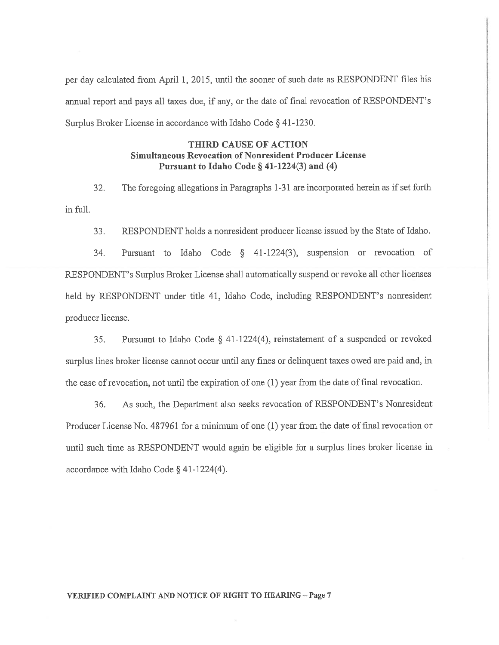per day calculated from April 1, 2015, until the sooner of such date as RESPONDENT files his annual repor<sup>t</sup> and pays all taxes due, if any, or the date of final revocation of RESPONDENT's Surplus Broker License in accordance with Idaho Code § 41-1230.

# THIRD CAUSE OF ACTION Simultaneous Revocation of Nonresident Producer License Pursuant to Idaho Code  $\S$  41-1224(3) and (4)

32. The foregoing allegations in Paragraphs 1-31 are incorporated herein as if set forth in full.

33. RESPONDENT holds <sup>a</sup> nonresident producer license issued by the State of Idaho.

34. Pursuant to Idaho Code § 41-1224(3), suspension or revocation of RESPONDENT's Surplus Broker License shall automatically suspend or revoke all other licenses held by RESPONDENT under title 41, Idaho Code, including RESPONDENT's nonresident producer license.

35. Pursuant to Idaho Code § 41-1224(4), reinstatement of <sup>a</sup> suspended or revoked surplus lines broker license cannot occur until any fines or delinquent taxes owed are paid and, in the case of revocation, not until the expiration of one (1) year from the date of final revocation.

36. As such, the Department also seeks revocation of RESPONDENT's Nonresident Producer License No. 487961 for <sup>a</sup> minimum of one (1) year from the date of final revocation or until such time as RESPONDENT would again be eligible for <sup>a</sup> surplus lines broker license in accordance with Idaho Code § 41-1224(4).

#### VERIFIED COMPLAINT AND NOTICE OF RIGHT TO HEARING -- Page 7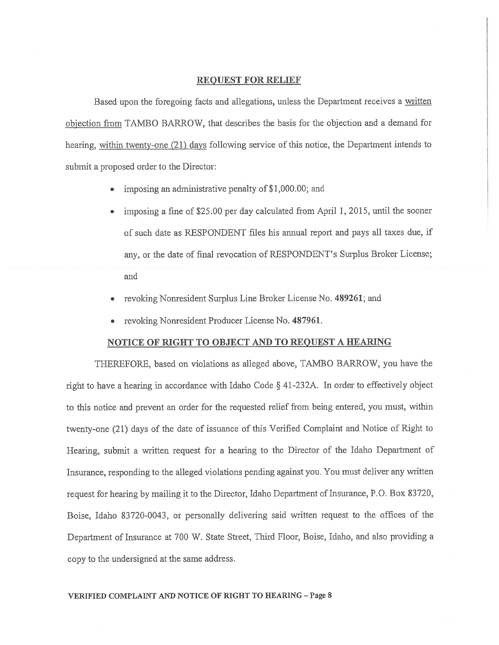### REQUEST FOR RELIEF

Based upon the foregoing facts and allegations, unless the Department receives a written objection from TAMBO BARROW, that describes the basis for the objection and <sup>a</sup> demand for hearing, within twenty-one (21) days following service of this notice, the Department intends to submit <sup>a</sup> proposed order to the Director:

- •imposing an administrative penalty of\$l,000.00; and
- • imposing <sup>a</sup> fine of \$25.00 per day calculated from April 1, 2015, until the sooner of such date as RESPONDENT files his annual repor<sup>t</sup> and pays all taxes due, if any, or the date of final revocation of RESPONDENT's Surplus Broker License; and
- •revoking Nonresident Surplus Line Broker License No. 489261; and
- revoking Nonresident Producer License No. 487961.

#### NOTICE OF RIGHT TO OBJECT AND TO REQUEST A HEARING

THEREFORE. based on violations as alleged above, TAMBO BARROW, you have the right to have <sup>a</sup> hearing in accordance with Idaho Code § 41-232A. In order to effectively object to this notice and preven<sup>t</sup> an order for the requested relief from being entered, you must, within twenty-one (21) days of the date of issuance of this Verified Complaint and Notice of Right to Hearing, submit <sup>a</sup> written reques<sup>t</sup> for <sup>a</sup> hearing to the Director of the Idaho Department of Insurance, responding to the alleged violations pending against you. You must deliver any written reques<sup>t</sup> for hearing by mailing it to the Director, Idaho Department of Insurance, P.O. Box 83720, Boise, Idaho 83720-0043, or personally delivering said written reques<sup>t</sup> to the offices of the Department of Insurance at <sup>700</sup> W. State Street, Third Floor, Boise, Idaho, and also providing <sup>a</sup> copy to the undersigned at the same address.

### VERIFIED COMPLAINT AND NOTICE OF RIGHT TO HEARING -Page 8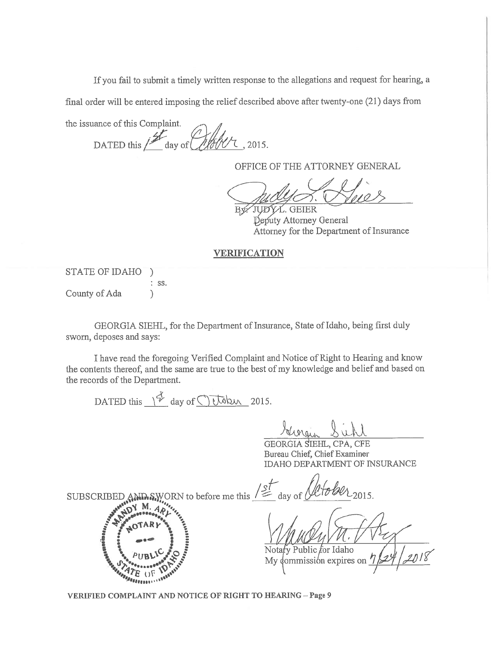If you fail to submit <sup>a</sup> timely written response to the allegations and reques<sup>t</sup> for hearing, <sup>a</sup>

final order will be entered imposing the relief described above after twenty-one (21) days from

the issuance of this Complaint. DATED this  $\frac{d}{dx}$  day of  $\frac{d}{dx}$ , 2015. If you fail to submit a timely written response ther will be entered imposing the relief describe<br>
ance of this Complaint.<br>
DATED this  $\frac{1}{2}$  day of  $\frac{1}{2}$  ( $\frac{1}{2}$   $\frac{1}{2}$   $\frac{1}{2}$   $\frac{1}{2}$   $\frac{1}{2}$   $\frac{1}{2}$ 

OFFICE OF THE ATTORNEY GENERAL

y/JIJD2t. GEIER Deputy Attorney General Attorney for the Department of Insurance

### VERIFICATION

STATE OF IDAHO ) ss. County of Ada (1)

GEORGIA SIEHL, for the Department of Insurance, State of Idaho, being first duly sworn, deposes and says:

I have read the foregoing Verified Complaint and Notice of Right to Hearing and know the contents thereof, and the same are true to the best of my knowledge and belief and based on the records of the Department.

GEORGIA SIEHL, CPA, CFE Bureau Chief, Chief Examiner IDAHO DEPARTMENT OF INSURANCE

SUBSCRIBED AND SWORN to before me this  $/ \leq$  day of  $/ \sqrt{10^2/2015}$ .

y Public for Idaho Nota *dommissión* expires on My

VERIFIED COMPLAINT AND NOTICE OF RIGHT TO HEARING — Page 9